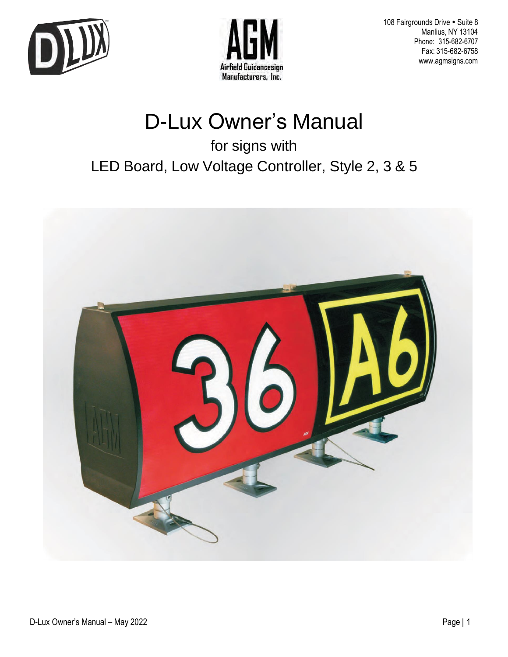



108 Fairgrounds Drive · Suite 8 Manlius, NY 13104 Phone: 315-682-6707 Fax: 315-682-6758 [www.agmsigns.com](http://www.agmsigns.com/)

# D-Lux Owner's Manual

for signs with

LED Board, Low Voltage Controller, Style 2, 3 & 5

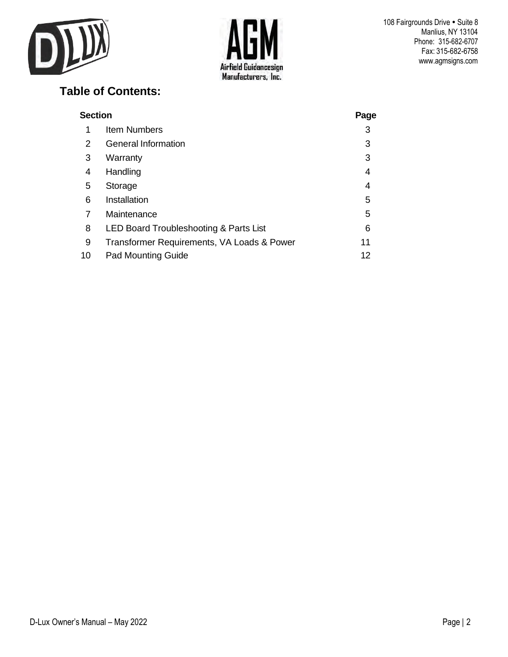



## **Table of Contents:**

| <b>Section</b> | Page                                       |    |
|----------------|--------------------------------------------|----|
| 1              | Item Numbers                               | 3  |
| 2              | <b>General Information</b>                 | 3  |
| 3              | Warranty                                   | 3  |
| 4              | Handling                                   | 4  |
| 5              | Storage                                    | 4  |
| 6              | Installation                               | 5  |
| 7              | Maintenance                                | 5  |
| 8              | LED Board Troubleshooting & Parts List     | 6  |
| 9              | Transformer Requirements, VA Loads & Power | 11 |
| 10             | <b>Pad Mounting Guide</b>                  | 12 |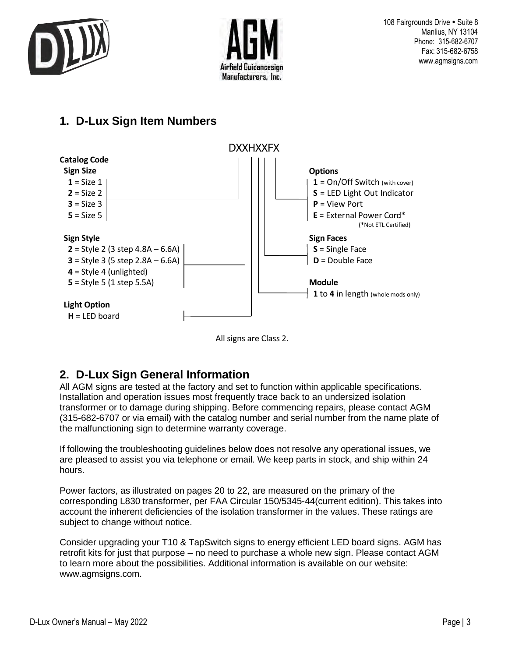



# **1. D-Lux Sign Item Numbers**





# **2. D-Lux Sign General Information**

All AGM signs are tested at the factory and set to function within applicable specifications. Installation and operation issues most frequently trace back to an undersized isolation transformer or to damage during shipping. Before commencing repairs, please contact AGM (315-682-6707 or via email) with the catalog number and serial number from the name plate of the malfunctioning sign to determine warranty coverage.

If following the troubleshooting guidelines below does not resolve any operational issues, we are pleased to assist you via telephone or email. We keep parts in stock, and ship within 24 hours.

Power factors, as illustrated on pages 20 to 22, are measured on the primary of the corresponding L830 transformer, per FAA Circular 150/5345-44(current edition). This takes into account the inherent deficiencies of the isolation transformer in the values. These ratings are subject to change without notice.

Consider upgrading your T10 & TapSwitch signs to energy efficient LED board signs. AGM has retrofit kits for just that purpose – no need to purchase a whole new sign. Please contact AGM to learn more about the possibilities. Additional information is available on our website: [www.agmsigns.com.](http://www.agmsigns.com/)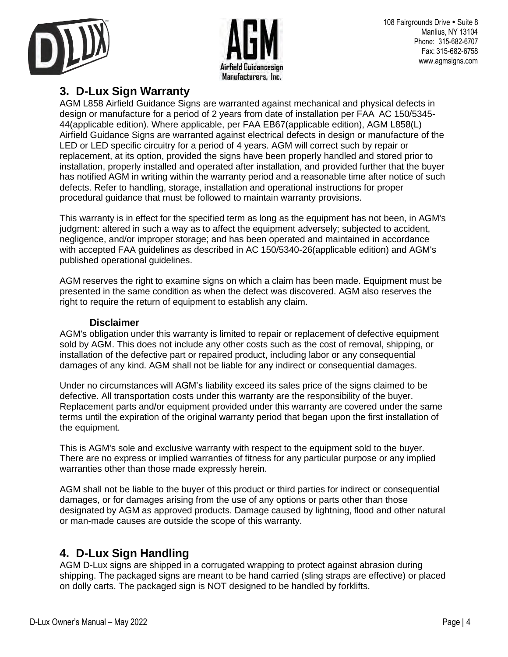



#### **3. D-Lux Sign Warranty**

AGM L858 Airfield Guidance Signs are warranted against mechanical and physical defects in design or manufacture for a period of 2 years from date of installation per FAA AC 150/5345- 44(applicable edition). Where applicable, per FAA EB67(applicable edition), AGM L858(L) Airfield Guidance Signs are warranted against electrical defects in design or manufacture of the LED or LED specific circuitry for a period of 4 years. AGM will correct such by repair or replacement, at its option, provided the signs have been properly handled and stored prior to installation, properly installed and operated after installation, and provided further that the buyer has notified AGM in writing within the warranty period and a reasonable time after notice of such defects. Refer to handling, storage, installation and operational instructions for proper procedural guidance that must be followed to maintain warranty provisions.

This warranty is in effect for the specified term as long as the equipment has not been, in AGM's judgment: altered in such a way as to affect the equipment adversely; subjected to accident, negligence, and/or improper storage; and has been operated and maintained in accordance with accepted FAA guidelines as described in AC 150/5340-26(applicable edition) and AGM's published operational guidelines.

AGM reserves the right to examine signs on which a claim has been made. Equipment must be presented in the same condition as when the defect was discovered. AGM also reserves the right to require the return of equipment to establish any claim.

#### **Disclaimer**

AGM's obligation under this warranty is limited to repair or replacement of defective equipment sold by AGM. This does not include any other costs such as the cost of removal, shipping, or installation of the defective part or repaired product, including labor or any consequential damages of any kind. AGM shall not be liable for any indirect or consequential damages.

Under no circumstances will AGM's liability exceed its sales price of the signs claimed to be defective. All transportation costs under this warranty are the responsibility of the buyer. Replacement parts and/or equipment provided under this warranty are covered under the same terms until the expiration of the original warranty period that began upon the first installation of the equipment.

This is AGM's sole and exclusive warranty with respect to the equipment sold to the buyer. There are no express or implied warranties of fitness for any particular purpose or any implied warranties other than those made expressly herein.

AGM shall not be liable to the buyer of this product or third parties for indirect or consequential damages, or for damages arising from the use of any options or parts other than those designated by AGM as approved products. Damage caused by lightning, flood and other natural or man-made causes are outside the scope of this warranty.

#### **4. D-Lux Sign Handling**

AGM D-Lux signs are shipped in a corrugated wrapping to protect against abrasion during shipping. The packaged signs are meant to be hand carried (sling straps are effective) or placed on dolly carts. The packaged sign is NOT designed to be handled by forklifts.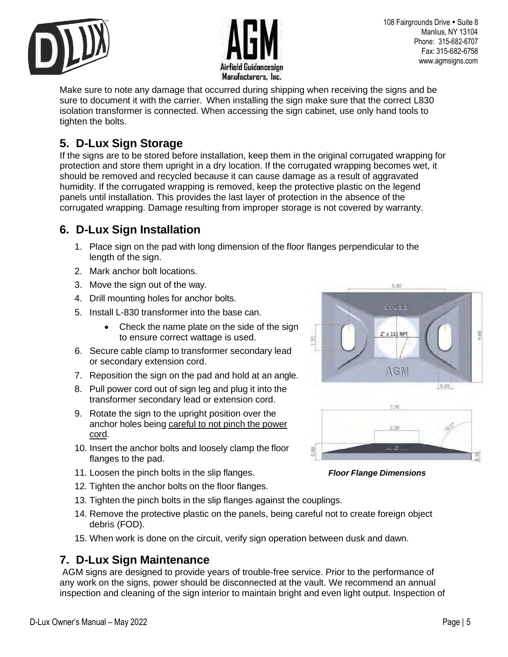



108 Fairgrounds Drive • Suite 8 Manlius, NY 13104 Phone: 315-682-6707 Fax: 315-682-6758 [www.agmsigns.com](http://www.agmsigns.com/)

Make sure to note any damage that occurred during shipping when receiving the signs and be sure to document it with the carrier. When installing the sign make sure that the correct L830 isolation transformer is connected. When accessing the sign cabinet, use only hand tools to tighten the bolts.

# **5. D-Lux Sign Storage**

If the signs are to be stored before installation, keep them in the original corrugated wrapping for protection and store them upright in a dry location. If the corrugated wrapping becomes wet, it should be removed and recycled because it can cause damage as a result of aggravated humidity. If the corrugated wrapping is removed, keep the protective plastic on the legend panels until installation. This provides the last layer of protection in the absence of the corrugated wrapping. Damage resulting from improper storage is not covered by warranty.

# **6. D-Lux Sign Installation**

- 1. Place sign on the pad with long dimension of the floor flanges perpendicular to the length of the sign.
- 2. Mark anchor bolt locations.
- 3. Move the sign out of the way.
- 4. Drill mounting holes for anchor bolts.
- 5. Install L-830 transformer into the base can.
	- Check the name plate on the side of the sign to ensure correct wattage is used.
- 6. Secure cable clamp to transformer secondary lead or secondary extension cord.
- 7. Reposition the sign on the pad and hold at an angle.
- 8. Pull power cord out of sign leg and plug it into the transformer secondary lead or extension cord.
- 9. Rotate the sign to the upright position over the anchor holes being careful to not pinch the power cord.
- 10. Insert the anchor bolts and loosely clamp the floor flanges to the pad.
- 11. Loosen the pinch bolts in the slip flanges. *Floor Flange Dimensions*
- 12. Tighten the anchor bolts on the floor flanges.
- 13. Tighten the pinch bolts in the slip flanges against the couplings.
- 14. Remove the protective plastic on the panels, being careful not to create foreign object debris (FOD).
- 15. When work is done on the circuit, verify sign operation between dusk and dawn.

#### **7. D-Lux Sign Maintenance**

AGM signs are designed to provide years of trouble-free service. Prior to the performance of any work on the signs, power should be disconnected at the vault. We recommend an annual inspection and cleaning of the sign interior to maintain bright and even light output. Inspection of

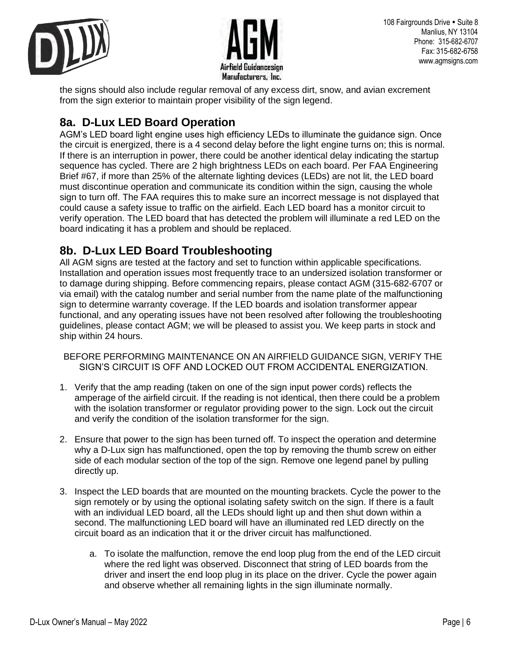



the signs should also include regular removal of any excess dirt, snow, and avian excrement from the sign exterior to maintain proper visibility of the sign legend.

# **8a. D-Lux LED Board Operation**

AGM's LED board light engine uses high efficiency LEDs to illuminate the guidance sign. Once the circuit is energized, there is a 4 second delay before the light engine turns on; this is normal. If there is an interruption in power, there could be another identical delay indicating the startup sequence has cycled. There are 2 high brightness LEDs on each board. Per FAA Engineering Brief #67, if more than 25% of the alternate lighting devices (LEDs) are not lit, the LED board must discontinue operation and communicate its condition within the sign, causing the whole sign to turn off. The FAA requires this to make sure an incorrect message is not displayed that could cause a safety issue to traffic on the airfield. Each LED board has a monitor circuit to verify operation. The LED board that has detected the problem will illuminate a red LED on the board indicating it has a problem and should be replaced.

## **8b. D-Lux LED Board Troubleshooting**

All AGM signs are tested at the factory and set to function within applicable specifications. Installation and operation issues most frequently trace to an undersized isolation transformer or to damage during shipping. Before commencing repairs, please contact AGM (315-682-6707 or via email) with the catalog number and serial number from the name plate of the malfunctioning sign to determine warranty coverage. If the LED boards and isolation transformer appear functional, and any operating issues have not been resolved after following the troubleshooting guidelines, please contact AGM; we will be pleased to assist you. We keep parts in stock and ship within 24 hours.

- BEFORE PERFORMING MAINTENANCE ON AN AIRFIELD GUIDANCE SIGN, VERIFY THE SIGN'S CIRCUIT IS OFF AND LOCKED OUT FROM ACCIDENTAL ENERGIZATION.
- 1. Verify that the amp reading (taken on one of the sign input power cords) reflects the amperage of the airfield circuit. If the reading is not identical, then there could be a problem with the isolation transformer or regulator providing power to the sign. Lock out the circuit and verify the condition of the isolation transformer for the sign.
- 2. Ensure that power to the sign has been turned off. To inspect the operation and determine why a D-Lux sign has malfunctioned, open the top by removing the thumb screw on either side of each modular section of the top of the sign. Remove one legend panel by pulling directly up.
- 3. Inspect the LED boards that are mounted on the mounting brackets. Cycle the power to the sign remotely or by using the optional isolating safety switch on the sign. If there is a fault with an individual LED board, all the LEDs should light up and then shut down within a second. The malfunctioning LED board will have an illuminated red LED directly on the circuit board as an indication that it or the driver circuit has malfunctioned.
	- a. To isolate the malfunction, remove the end loop plug from the end of the LED circuit where the red light was observed. Disconnect that string of LED boards from the driver and insert the end loop plug in its place on the driver. Cycle the power again and observe whether all remaining lights in the sign illuminate normally.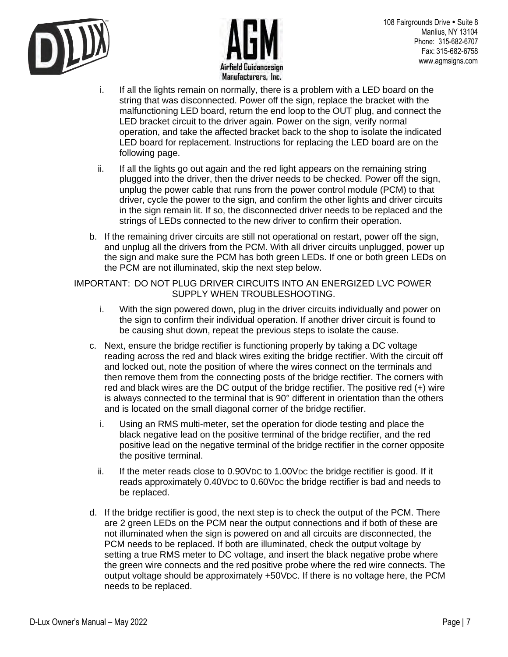



- i. If all the lights remain on normally, there is a problem with a LED board on the string that was disconnected. Power off the sign, replace the bracket with the malfunctioning LED board, return the end loop to the OUT plug, and connect the LED bracket circuit to the driver again. Power on the sign, verify normal operation, and take the affected bracket back to the shop to isolate the indicated LED board for replacement. Instructions for replacing the LED board are on the following page.
- ii. If all the lights go out again and the red light appears on the remaining string plugged into the driver, then the driver needs to be checked. Power off the sign, unplug the power cable that runs from the power control module (PCM) to that driver, cycle the power to the sign, and confirm the other lights and driver circuits in the sign remain lit. If so, the disconnected driver needs to be replaced and the strings of LEDs connected to the new driver to confirm their operation.
- b. If the remaining driver circuits are still not operational on restart, power off the sign, and unplug all the drivers from the PCM. With all driver circuits unplugged, power up the sign and make sure the PCM has both green LEDs. If one or both green LEDs on the PCM are not illuminated, skip the next step below.

#### IMPORTANT: DO NOT PLUG DRIVER CIRCUITS INTO AN ENERGIZED LVC POWER SUPPLY WHEN TROUBLESHOOTING.

- i. With the sign powered down, plug in the driver circuits individually and power on the sign to confirm their individual operation. If another driver circuit is found to be causing shut down, repeat the previous steps to isolate the cause.
- c. Next, ensure the bridge rectifier is functioning properly by taking a DC voltage reading across the red and black wires exiting the bridge rectifier. With the circuit off and locked out, note the position of where the wires connect on the terminals and then remove them from the connecting posts of the bridge rectifier. The corners with red and black wires are the DC output of the bridge rectifier. The positive red (+) wire is always connected to the terminal that is 90° different in orientation than the others and is located on the small diagonal corner of the bridge rectifier.
	- i. Using an RMS multi-meter, set the operation for diode testing and place the black negative lead on the positive terminal of the bridge rectifier, and the red positive lead on the negative terminal of the bridge rectifier in the corner opposite the positive terminal.
	- ii. If the meter reads close to 0.90VDC to 1.00VDC the bridge rectifier is good. If it reads approximately 0.40VDC to 0.60VDC the bridge rectifier is bad and needs to be replaced.
- d. If the bridge rectifier is good, the next step is to check the output of the PCM. There are 2 green LEDs on the PCM near the output connections and if both of these are not illuminated when the sign is powered on and all circuits are disconnected, the PCM needs to be replaced. If both are illuminated, check the output voltage by setting a true RMS meter to DC voltage, and insert the black negative probe where the green wire connects and the red positive probe where the red wire connects. The output voltage should be approximately +50VDC. If there is no voltage here, the PCM needs to be replaced.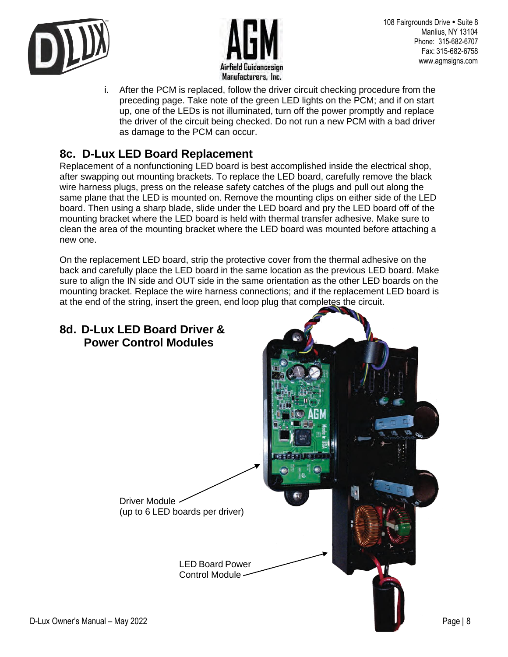



i. After the PCM is replaced, follow the driver circuit checking procedure from the preceding page. Take note of the green LED lights on the PCM; and if on start up, one of the LEDs is not illuminated, turn off the power promptly and replace the driver of the circuit being checked. Do not run a new PCM with a bad driver as damage to the PCM can occur.

## **8c. D-Lux LED Board Replacement**

Replacement of a nonfunctioning LED board is best accomplished inside the electrical shop, after swapping out mounting brackets. To replace the LED board, carefully remove the black wire harness plugs, press on the release safety catches of the plugs and pull out along the same plane that the LED is mounted on. Remove the mounting clips on either side of the LED board. Then using a sharp blade, slide under the LED board and pry the LED board off of the mounting bracket where the LED board is held with thermal transfer adhesive. Make sure to clean the area of the mounting bracket where the LED board was mounted before attaching a new one.

On the replacement LED board, strip the protective cover from the thermal adhesive on the back and carefully place the LED board in the same location as the previous LED board. Make sure to align the IN side and OUT side in the same orientation as the other LED boards on the mounting bracket. Replace the wire harness connections; and if the replacement LED board is at the end of the string, insert the green, end loop plug that completes the circuit.

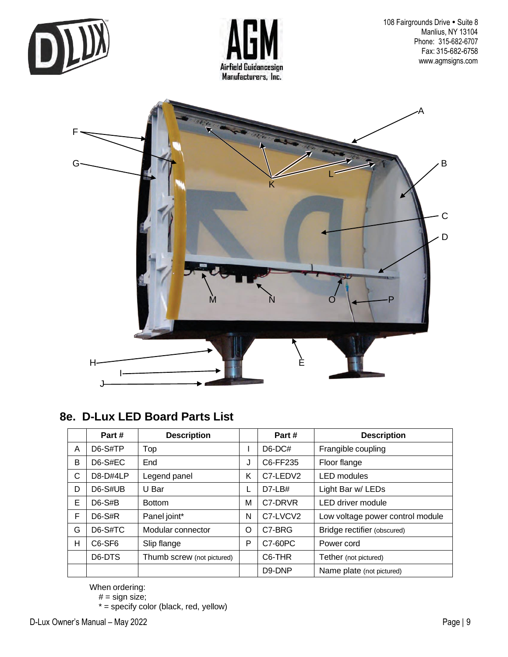



108 Fairgrounds Drive · Suite 8 Manlius, NY 13104 Phone: 315-682-6707 Fax: 315-682-6758 [www.agmsigns.com](http://www.agmsigns.com/)



#### **8e. D-Lux LED Board Parts List**

|   | Part#                           | <b>Description</b>         |   | Part#               | <b>Description</b>               |
|---|---------------------------------|----------------------------|---|---------------------|----------------------------------|
| A | $D6-S\#TP$                      | Top                        |   | $D6-DC#$            | Frangible coupling               |
| B | $D6-S#EC$                       | End                        | J | C6-FF235            | Floor flange                     |
| С | D8-D#4LP                        | Legend panel               | Κ | C7-LEDV2            | <b>LED</b> modules               |
| D | $D6-S\#UB$                      | U Bar                      |   | $D7-LB#$            | Light Bar w/ LEDs                |
| E | $D6-S#B$                        | <b>Bottom</b>              | M | C7-DRVR             | LED driver module                |
| F | $D6-S#R$                        | Panel joint*               | N | C7-LVCV2            | Low voltage power control module |
| G | $D6-S\#TC$                      | Modular connector          | O | C7-BRG              | Bridge rectifier (obscured)      |
| н | C <sub>6</sub> -SF <sub>6</sub> | Slip flange                | P | C7-60PC             | Power cord                       |
|   | D <sub>6</sub> -DT <sub>S</sub> | Thumb screw (not pictured) |   | C <sub>6</sub> -THR | Tether (not pictured)            |
|   |                                 |                            |   | D9-DNP              | Name plate (not pictured)        |

When ordering:

# = sign size;

\* = specify color (black, red, yellow)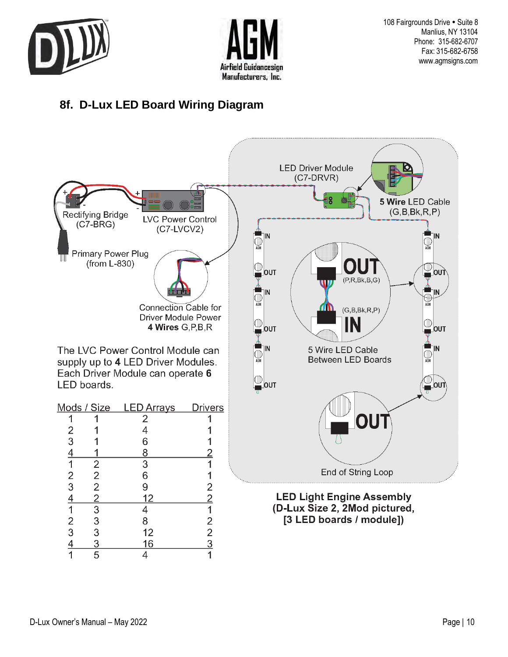



108 Fairgrounds Drive • Suite 8 Manlius, NY 13104 Phone: 315-682-6707 Fax: 315-682-6758 [www.agmsigns.com](http://www.agmsigns.com/)

# **8f. D-Lux LED Board Wiring Diagram**

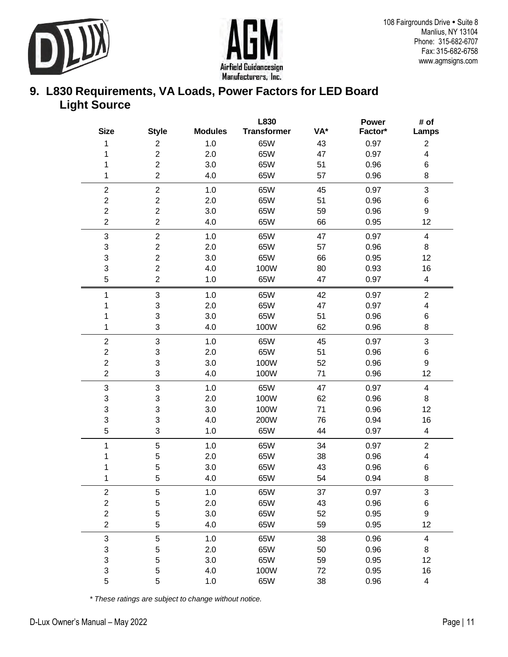![](_page_10_Picture_0.jpeg)

![](_page_10_Picture_1.jpeg)

#### **9. L830 Requirements, VA Loads, Power Factors for LED Board Light Source**

|                           |                           |                | L830               |     | <b>Power</b> | # of                    |
|---------------------------|---------------------------|----------------|--------------------|-----|--------------|-------------------------|
| <b>Size</b>               | <b>Style</b>              | <b>Modules</b> | <b>Transformer</b> | VA* | Factor*      | Lamps                   |
| 1                         | $\overline{c}$            | 1.0            | 65W                | 43  | 0.97         | $\overline{\mathbf{c}}$ |
| 1                         | $\overline{c}$            | 2.0            | 65W                | 47  | 0.97         | 4                       |
| 1                         | $\overline{c}$            | 3.0            | 65W                | 51  | 0.96         | $\,6$                   |
| 1                         | $\overline{c}$            | 4.0            | 65W                | 57  | 0.96         | 8                       |
| $\boldsymbol{2}$          | $\sqrt{2}$                | 1.0            | 65W                | 45  | 0.97         | 3                       |
| $\boldsymbol{2}$          | $\overline{c}$            | 2.0            | 65W                | 51  | 0.96         | $\,6$                   |
| $\overline{c}$            | $\overline{c}$            | 3.0            | 65W                | 59  | 0.96         | $\boldsymbol{9}$        |
| $\overline{2}$            | $\overline{c}$            | 4.0            | 65W                | 66  | 0.95         | 12                      |
| $\ensuremath{\mathsf{3}}$ | $\overline{c}$            | 1.0            | 65W                | 47  | 0.97         | 4                       |
| $\ensuremath{\mathsf{3}}$ | $\mathbf 2$               | 2.0            | 65W                | 57  | 0.96         | 8                       |
| 3                         | $\boldsymbol{2}$          | 3.0            | 65W                | 66  | 0.95         | 12                      |
| 3                         | $\boldsymbol{2}$          | 4.0            | 100W               | 80  | 0.93         | 16                      |
| $\mathbf 5$               | $\overline{c}$            | $1.0$          | 65W                | 47  | 0.97         | 4                       |
| 1                         | $\ensuremath{\mathsf{3}}$ | 1.0            | 65W                | 42  | 0.97         | $\mathbf{2}$            |
| 1                         | 3                         | 2.0            | 65W                | 47  | 0.97         | 4                       |
| 1                         | 3                         | 3.0            | 65W                | 51  | 0.96         | $\,6$                   |
| 1                         | 3                         | 4.0            | 100W               | 62  | 0.96         | 8                       |
| $\overline{2}$            | $\ensuremath{\mathsf{3}}$ | 1.0            | 65W                | 45  | 0.97         | 3                       |
| $\boldsymbol{2}$          | 3                         | 2.0            | 65W                | 51  | 0.96         | $\,6$                   |
| $\overline{\mathbf{c}}$   | 3                         | 3.0            | 100W               | 52  | 0.96         | $\boldsymbol{9}$        |
| $\overline{c}$            | 3                         | 4.0            | 100W               | 71  | 0.96         | 12                      |
| $\ensuremath{\mathsf{3}}$ | 3                         | 1.0            | 65W                | 47  | 0.97         | $\overline{\mathbf{4}}$ |
| $\ensuremath{\mathsf{3}}$ | 3                         | 2.0            | 100W               | 62  | 0.96         | 8                       |
| 3                         | 3                         | 3.0            | 100W               | 71  | 0.96         | 12                      |
| 3                         | 3                         | 4.0            | 200W               | 76  | 0.94         | 16                      |
| $\mathbf 5$               | 3                         | 1.0            | 65W                | 44  | 0.97         | 4                       |
| 1                         | $\mathbf 5$               | 1.0            | 65W                | 34  | 0.97         | $\overline{c}$          |
| 1                         | 5                         | 2.0            | 65W                | 38  | 0.96         | 4                       |
|                           | 5                         | 3.0            | 65W                | 43  | 0.96         | 6                       |
| 1                         | 5                         | 4.0            | 65W                | 54  | 0.94         | 8                       |
| $\overline{\mathbf{c}}$   | 5                         | 1.0            | 65W                | 37  | 0.97         | 3                       |
| $\overline{c}$            | 5                         | 2.0            | 65W                | 43  | 0.96         | 6                       |
| $\overline{2}$            | 5                         | 3.0            | 65W                | 52  | 0.95         | $\boldsymbol{9}$        |
| $\boldsymbol{2}$          | 5                         | 4.0            | 65W                | 59  | 0.95         | 12                      |
| $\ensuremath{\mathsf{3}}$ | $\sqrt{5}$                | 1.0            | 65W                | 38  | 0.96         | 4                       |
| $\ensuremath{\mathsf{3}}$ | 5                         | 2.0            | 65W                | 50  | 0.96         | 8                       |
| 3                         | 5                         | 3.0            | 65W                | 59  | 0.95         | 12                      |
| 3                         | 5                         | 4.0            | 100W               | 72  | 0.95         | 16                      |
| 5                         | 5                         | 1.0            | 65W                | 38  | 0.96         | $\overline{\mathbf{4}}$ |

*\* These ratings are subject to change without notice.*